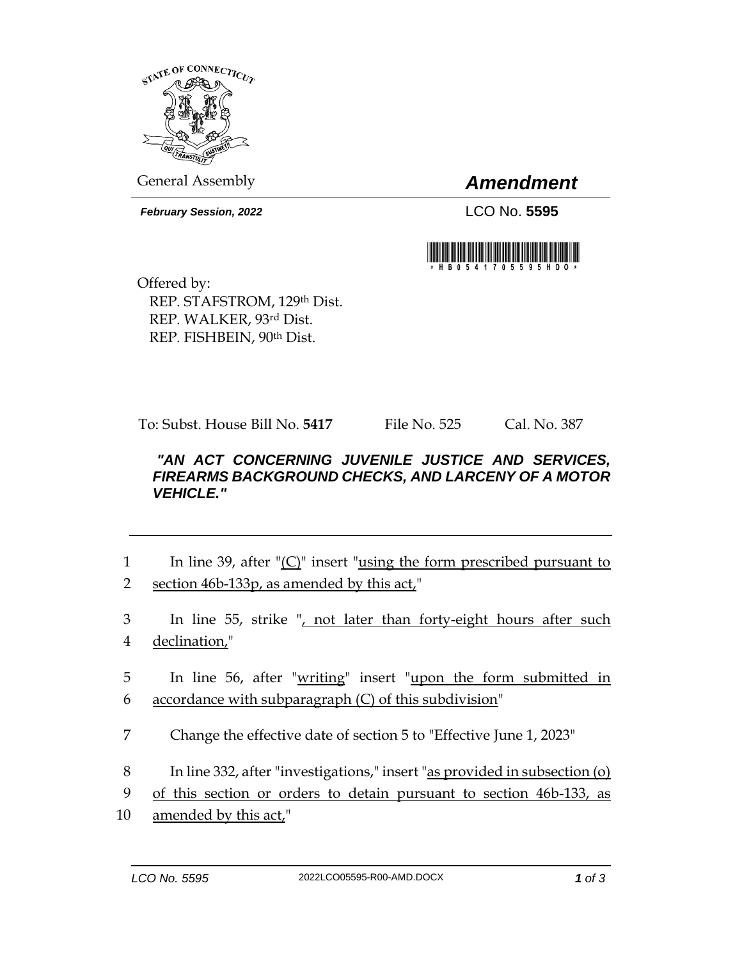

General Assembly *Amendment*

*February Session, 2022* LCO No. **5595**



Offered by: REP. STAFSTROM, 129th Dist. REP. WALKER, 93rd Dist. REP. FISHBEIN, 90th Dist.

To: Subst. House Bill No. **5417** File No. 525 Cal. No. 387

## *"AN ACT CONCERNING JUVENILE JUSTICE AND SERVICES, FIREARMS BACKGROUND CHECKS, AND LARCENY OF A MOTOR VEHICLE."*

- 1 In line 39, after "(C)" insert "using the form prescribed pursuant to 2 section 46b-133p, as amended by this act,"
- 3 In line 55, strike ", not later than forty-eight hours after such 4 declination,"
- 5 In line 56, after "writing" insert "upon the form submitted in 6 accordance with subparagraph  $(C)$  of this subdivision"
- 7 Change the effective date of section 5 to "Effective June 1, 2023"
- 8 In line 332, after "investigations," insert "as provided in subsection (o)
- 9 of this section or orders to detain pursuant to section 46b-133, as
- 10 amended by this act,"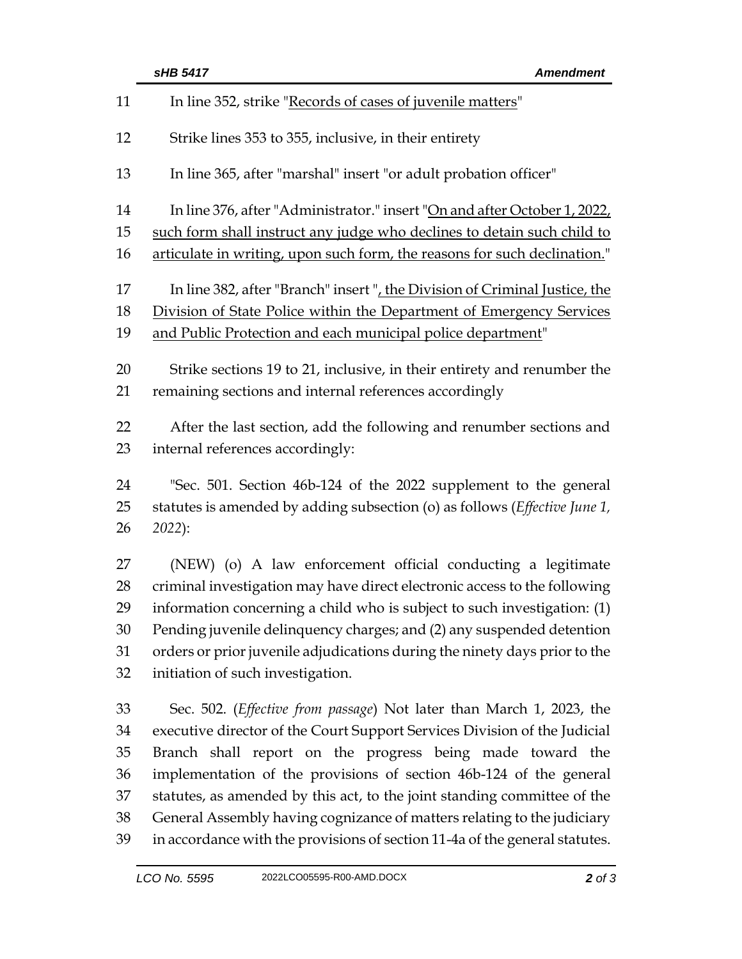|    | sHB 5417<br><b>Amendment</b>                                                |  |  |
|----|-----------------------------------------------------------------------------|--|--|
| 11 | In line 352, strike "Records of cases of juvenile matters"                  |  |  |
| 12 | Strike lines 353 to 355, inclusive, in their entirety                       |  |  |
| 13 | In line 365, after "marshal" insert "or adult probation officer"            |  |  |
| 14 | In line 376, after "Administrator." insert "On and after October 1, 2022,   |  |  |
| 15 | such form shall instruct any judge who declines to detain such child to     |  |  |
| 16 | articulate in writing, upon such form, the reasons for such declination."   |  |  |
| 17 | In line 382, after "Branch" insert ", the Division of Criminal Justice, the |  |  |
| 18 | Division of State Police within the Department of Emergency Services        |  |  |
| 19 | and Public Protection and each municipal police department"                 |  |  |
| 20 | Strike sections 19 to 21, inclusive, in their entirety and renumber the     |  |  |
| 21 | remaining sections and internal references accordingly                      |  |  |
| 22 | After the last section, add the following and renumber sections and         |  |  |
| 23 | internal references accordingly:                                            |  |  |
| 24 | "Sec. 501. Section 46b-124 of the 2022 supplement to the general            |  |  |
| 25 | statutes is amended by adding subsection (o) as follows (Effective June 1,  |  |  |
| 26 | 2022):                                                                      |  |  |
| 27 | (NEW) (o) A law enforcement official conducting a legitimate                |  |  |
| 28 | criminal investigation may have direct electronic access to the following   |  |  |
| 29 | information concerning a child who is subject to such investigation: (1)    |  |  |
| 30 | Pending juvenile delinquency charges; and (2) any suspended detention       |  |  |
| 31 | orders or prior juvenile adjudications during the ninety days prior to the  |  |  |
| 32 | initiation of such investigation.                                           |  |  |
| 33 | Sec. 502. (Effective from passage) Not later than March 1, 2023, the        |  |  |
| 34 | executive director of the Court Support Services Division of the Judicial   |  |  |
| 35 | Branch shall report on the progress being made toward the                   |  |  |
| 36 | implementation of the provisions of section 46b-124 of the general          |  |  |
| 37 | statutes, as amended by this act, to the joint standing committee of the    |  |  |
| 38 | General Assembly having cognizance of matters relating to the judiciary     |  |  |

 General Assembly having cognizance of matters relating to the judiciary in accordance with the provisions of section 11-4a of the general statutes.